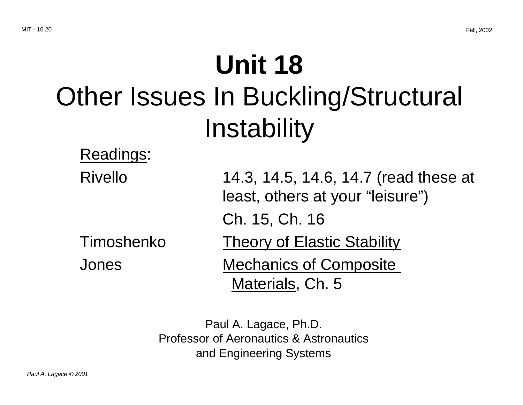# **Unit 18** Other Issues In Buckling/Structural Instability

### Readings:

| <b>Rivello</b> | 14.3, 14.5, 14.6, 14.7 (read these at |
|----------------|---------------------------------------|
|                | least, others at your "leisure")      |
|                | Ch. 15, Ch. 16                        |
| Timoshenko     | <b>Theory of Elastic Stability</b>    |
| <b>Jones</b>   | <b>Mechanics of Composite</b>         |
|                | Materials, Ch. 5                      |

Paul A. Lagace, Ph.D. Professor of Aeronautics & Astronautics and Engineering Systems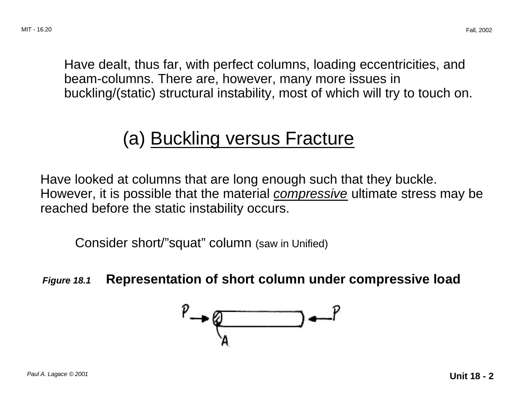Have dealt, thus far, with perfect columns, loading eccentricities, and beam-columns. There are, however, many more issues in buckling/(static) structural instability, most of which will try to touch on.

# (a) Buckling versus Fracture

Have looked at columns that are long enough such that they buckle. However, it is possible that the material *compressive* ultimate stress may be reached before the static instability occurs.

Consider short/"squat" column (saw in Unified)

**Figure 18.1 Representation of short column under compressive load** 

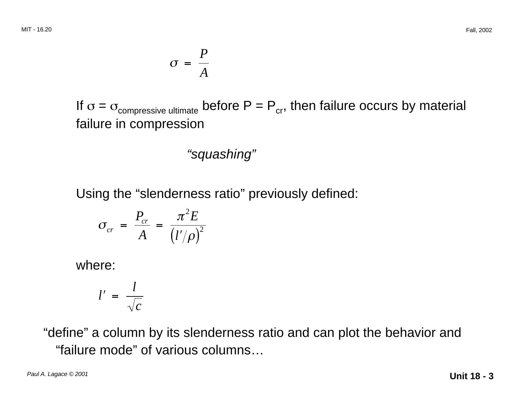$$
\sigma = \frac{P}{A}
$$

If  $\sigma = \sigma_{\text{compressive ultimate}}$  before  $P = P_{\text{cr}}$ , then failure occurs by material failure in compression

#### "squashing"

Using the "slenderness ratio" previously defined:

$$
\sigma_{cr} = \frac{P_{cr}}{A} = \frac{\pi^2 E}{(l'/\rho)^2}
$$

where:

$$
l' = \frac{l}{\sqrt{c}}
$$

"define" a column by its slenderness ratio and can plot the behavior and "failure mode" of various columns…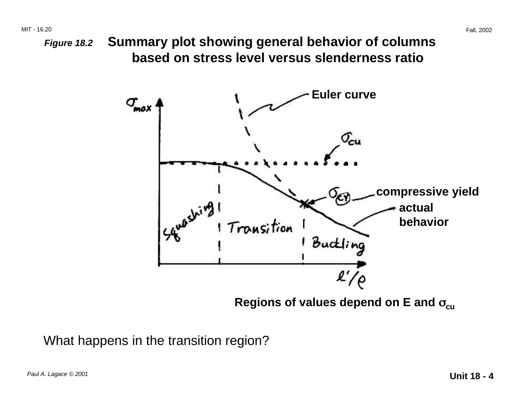**Figure 18.2 Summary plot showing general behavior of columns based on stress level versus slenderness ratio** 



**Regions of values depend on E and**  $\sigma_{\textsf{\scriptsize cu}}$ 

What happens in the transition region?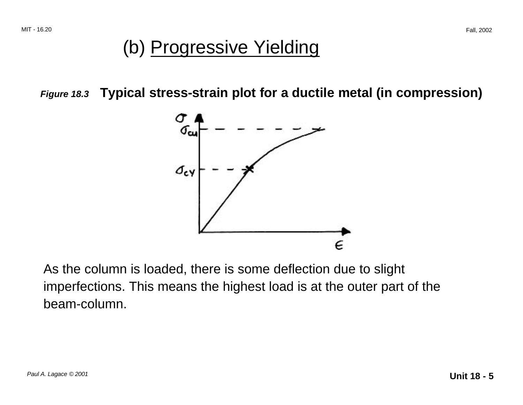### (b) Progressive Yielding

**Figure 18.3 Typical stress-strain plot for a ductile metal (in compression)** 



As the column is loaded, there is some deflection due to slight imperfections. This means the highest load is at the outer part of the beam-column.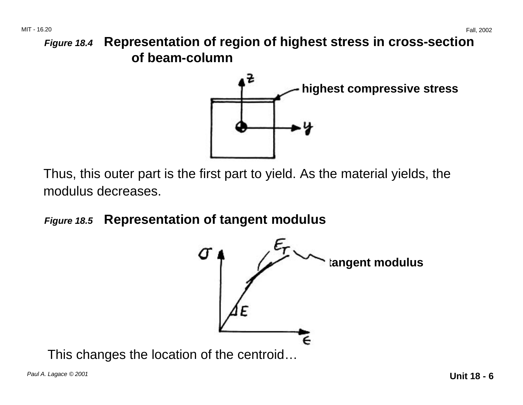**Figure 18.4 Representation of region of highest stress in cross-section of beam-column** 



Thus, this outer part is the first part to yield. As the material yields, the modulus decreases.

**Figure 18.5 Representation of tangent modulus** 



This changes the location of the centroid…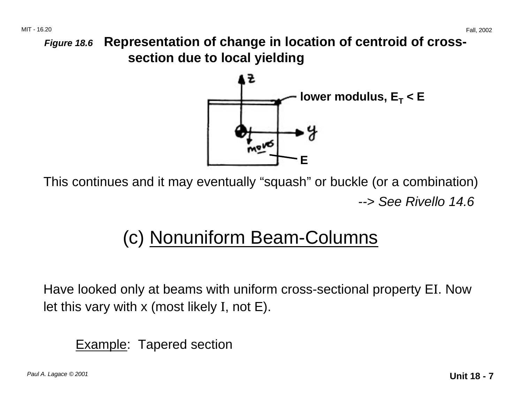**Figure 18.6 Representation of change in location of centroid of crosssection due to local yielding** 



This continues and it may eventually "squash" or buckle (or a combination) --> See Rivello 14.6

# (c) Nonuniform Beam-Columns

Have looked only at beams with uniform cross-sectional property EI. Now let this vary with x (most likely I, not E).

**Example:** Tapered section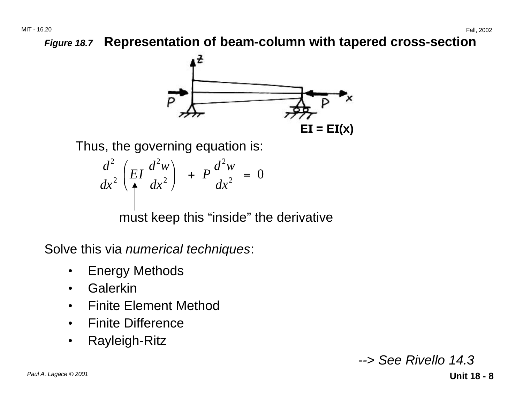

Thus, the governing equation is:

$$
\frac{d^2}{dx^2}\left(EI\frac{d^2w}{dx^2}\right) + P\frac{d^2w}{dx^2} = 0
$$

must keep this "inside" the derivative

Solve this via numerical techniques:

- Energy Methods
- Galerkin
- Finite Element Method
- Finite Difference
- • Rayleigh-Ritz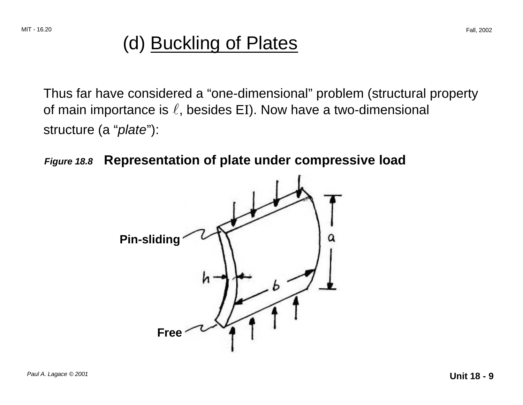## (d) Buckling of Plates

Thus far have considered a "one-dimensional" problem (structural property of main importance is  $\ell$ , besides EI). Now have a two-dimensional structure (a "plate"):



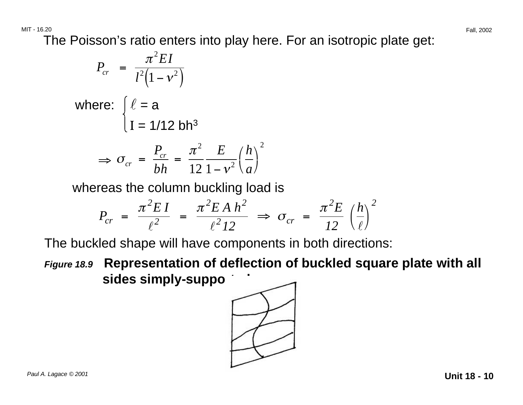The Poisson's ratio enters into play here. For an isotropic plate get:

$$
P_{cr} = \frac{\pi^2 EI}{l^2 (1 - v^2)}
$$
  
where:  $\left\{ \ell = a$   
 $I = 1/12 bh^3$   
 $\Rightarrow \sigma_{cr} = \frac{P_{cr}}{bh} = \frac{\pi^2}{12} \frac{E}{1 - v^2} \left(\frac{h}{a}\right)^2$ 

whereas the column buckling load is

$$
P_{cr} = \frac{\pi^2 EI}{\ell^2} = \frac{\pi^2 E A h^2}{\ell^2 12} \Rightarrow \sigma_{cr} = \frac{\pi^2 E}{12} \left(\frac{h}{\ell}\right)^2
$$

The buckled shape will have components in both directions:

**Figure 18.9 Representation of deflection of buckled square plate with all**  sides simply-suppo

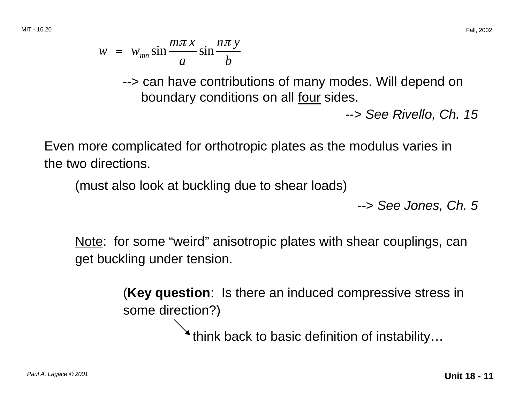--> can have contributions of many modes. Will depend on boundary conditions on all four sides.

--> See Rivello, Ch. 15

Even more complicated for orthotropic plates as the modulus varies in the two directions.

(must also look at buckling due to shear loads)

--> See Jones, Ch. 5

Note: for some "weird" anisotropic plates with shear couplings, can get buckling under tension.

> (**Key question**: Is there an induced compressive stress in some direction?)

> > think back to basic definition of instability…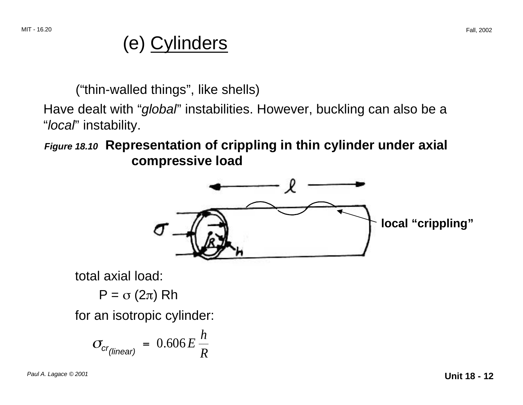# (e) Cylinders

("thin-walled things", like shells)

Have dealt with "global" instabilities. However, buckling can also be a "local" instability.

**Figure 18.10 Representation of crippling in thin cylinder under axial compressive load** 



total axial load:

 $P = σ(2π) Rh$ 

for an isotropic cylinder:

$$
\sigma_{\text{cr(linear)}} = 0.606 E \frac{h}{R}
$$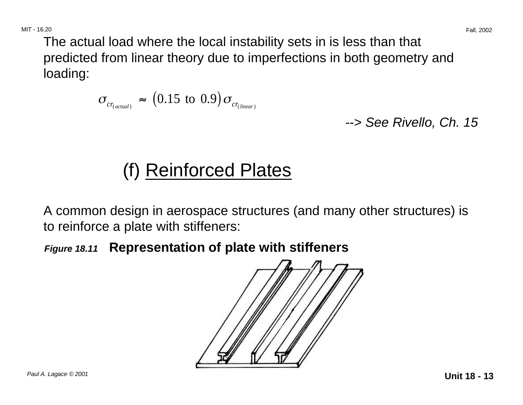The actual load where the local instability sets in is less than that predicted from linear theory due to imperfections in both geometry and loading:

$$
\sigma_{\text{cr}_{(actual)}} \approx (0.15 \text{ to } 0.9) \sigma_{\text{cr}_{(linear)}}
$$

--> See Rivello, Ch. 15

# (f) Reinforced Plates

A common design in aerospace structures (and many other structures) is to reinforce a plate with stiffeners:

**Figure 18.11 Representation of plate with stiffeners** 

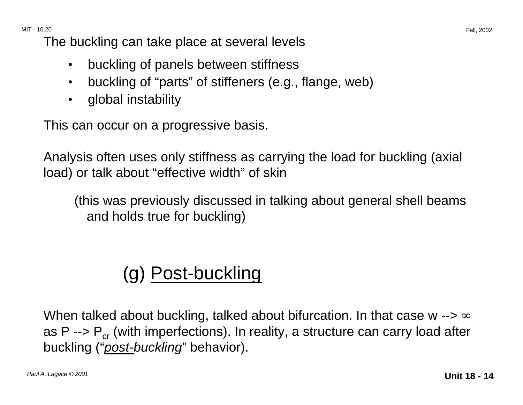The buckling can take place at several levels

- buckling of panels between stiffness
- buckling of "parts" of stiffeners (e.g., flange, web)
- global instability

This can occur on a progressive basis.

Analysis often uses only stiffness as carrying the load for buckling (axial load) or talk about "effective width" of skin

(this was previously discussed in talking about general shell beams and holds true for buckling)

# (g) Post-buckling

When talked about buckling, talked about bifurcation. In that case w  $\rightarrow \infty$ as P -->  $P_{cr}$  (with imperfections). In reality, a structure can carry load after buckling ("*post-buckling*" behavior).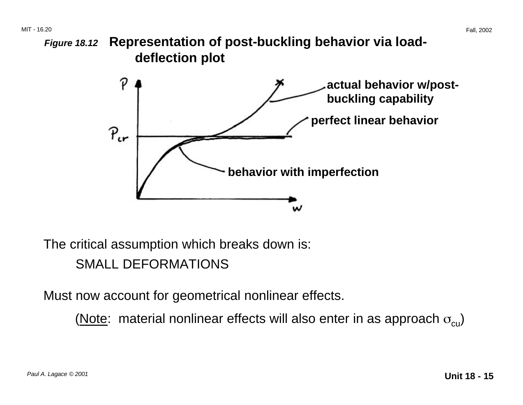**Figure 18.12 Representation of post-buckling behavior via loaddeflection plot** 



The critical assumption which breaks down is:

SMALL DEFORMATIONS

Must now account for geometrical nonlinear effects.

(Note: material nonlinear effects will also enter in as approach  $\sigma_{\text{cu}}$ )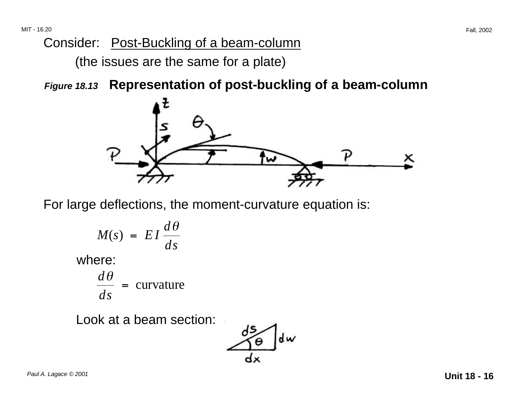### Consider: Post-Buckling of a beam-column

(the issues are the same for a plate)

**Figure 18.13 Representation of post-buckling of a beam-column** 



For large deflections, the moment-curvature equation is:

$$
M(s) = EI \frac{d\theta}{ds}
$$
  
where:  

$$
\frac{d\theta}{ds} = \text{curvature}
$$

$$
ds =
$$

Look at a beam section:

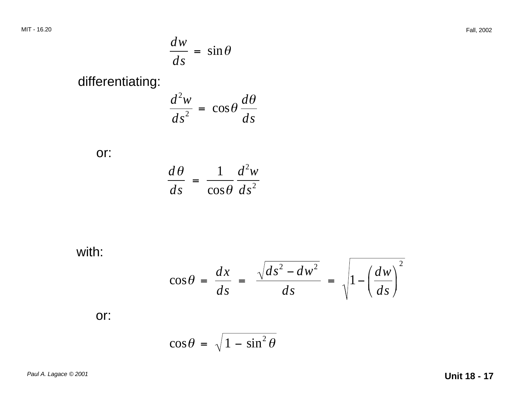$$
\frac{dw}{ds} = \sin \theta
$$

differentiating:

$$
\frac{d^2w}{ds^2} = \cos\theta \frac{d\theta}{ds}
$$

or:

$$
\frac{d\theta}{ds} = \frac{1}{\cos\theta} \frac{d^2w}{ds^2}
$$

with:

$$
\cos\theta = \frac{dx}{ds} = \frac{\sqrt{ds^2 - dw^2}}{ds} = \sqrt{1 - \left(\frac{dw}{ds}\right)^2}
$$

or:

$$
\cos\theta = \sqrt{1-\sin^2\theta}
$$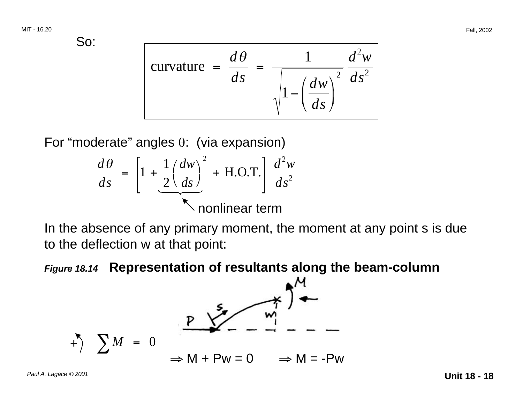So:

$$
\text{curvature } = \frac{d\theta}{ds} = \frac{1}{\sqrt{1 - \left(\frac{dw}{ds}\right)^2}} \frac{d^2w}{ds^2}
$$

For "moderate" angles θ: (via expansion)

$$
\frac{d\theta}{ds} = \left[1 + \frac{1}{2} \left(\frac{dw}{ds}\right)^2 + \text{H.O.T.}\right] \frac{d^2w}{ds^2}
$$
\nnonlinear term

In the absence of any primary moment, the moment at any point s is due to the deflection w at that point:

#### **Figure 18.14 Representation of resultants along the beam-column**

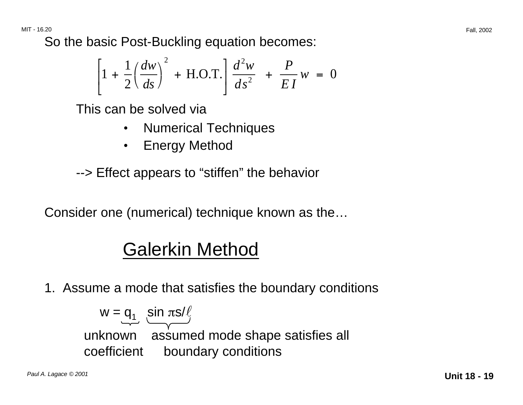So the basic Post-Buckling equation becomes:

$$
\left[1 + \frac{1}{2} \left(\frac{dw}{ds}\right)^2 + \text{H.O.T.}\right] \frac{d^2w}{ds^2} + \frac{P}{EI}w = 0
$$

This can be solved via

- Numerical Techniques
- Energy Method

--> Effect appears to "stiffen" the behavior

Consider one (numerical) technique known as the…

# Galerkin Method

1. Assume a mode that satisfies the boundary conditions

 $w = q_1 \underbrace{\sin \pi s / \ell}_{\text{max}}$ unknown assumed mode shape satisfies all coefficient boundary conditions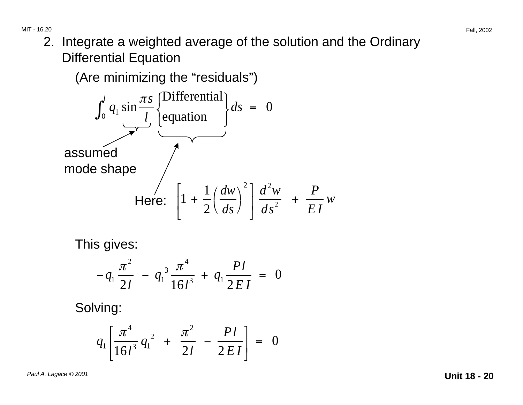2. Integrate a weighted average of the solution and the Ordinary Differential Equation

(Are minimizing the "residuals")

$$
\int_0^l q_1 \sin \frac{\pi s}{l} \left\{ \frac{\text{Differential}}{\text{equation}} \right\} ds = 0
$$
\nassumed

\n
$$
\text{Here: } \left[ 1 + \frac{1}{2} \left( \frac{dw}{ds} \right)^2 \right] \frac{d^2 w}{ds^2} + \frac{P}{EI} w
$$

This gives:

$$
-q_1 \frac{\pi^2}{2l} - q_1^3 \frac{\pi^4}{16l^3} + q_1 \frac{Pl}{2EI} = 0
$$

Solving:

$$
q_1 \left[ \frac{\pi^4}{16l^3} q_1^2 + \frac{\pi^2}{2l} - \frac{Pl}{2EI} \right] = 0
$$

Paul A. Lagace © 2001 **Unit 18 - 20**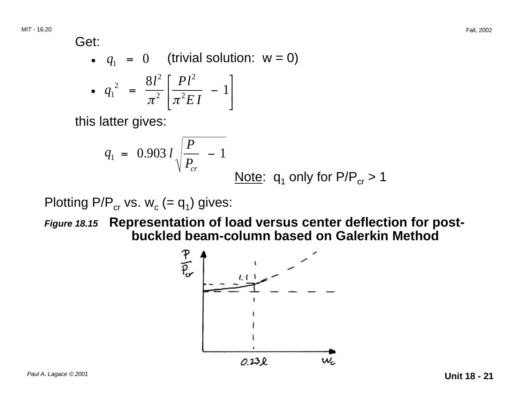MIT - 16.20

$$
\mathsf{Get:} \\
$$

• 
$$
q_1 = 0
$$
 (trivial solution: w = 0)  
\n•  $q_1^2 = \frac{8l^2}{\pi^2} \left[ \frac{Pl^2}{\pi^2 EI} - 1 \right]$ 

this latter gives:

$$
q_1 = 0.903 l \sqrt{\frac{P}{P_{cr}} - 1}
$$
  
 Note:  $q_1$  only for  $P/P_{cr} > 1$ 

Plotting P/P<sub>cr</sub> vs.  $w_c$  (=  $q_1$ ) gives:

**Figure 18.15 Representation of load versus center deflection for postbuckled beam-column based on Galerkin Method** 

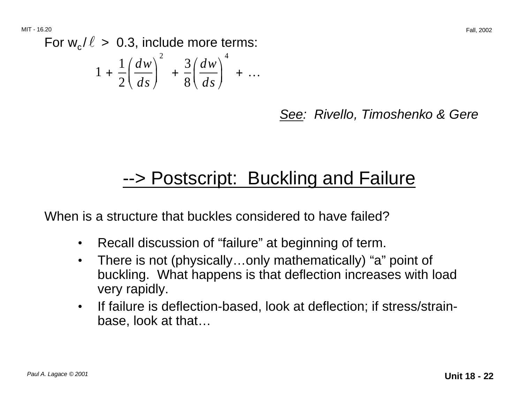For  $w_c / \ell > 0.3$ , include more terms:

$$
1 + \frac{1}{2} \left( \frac{dw}{ds} \right)^2 + \frac{3}{8} \left( \frac{dw}{ds} \right)^4 + \dots
$$

See: Rivello, Timoshenko & Gere

## --> Postscript: Buckling and Failure

When is a structure that buckles considered to have failed?

- Recall discussion of "failure" at beginning of term.
- There is not (physically...only mathematically) "a" point of buckling. What happens is that deflection increases with load very rapidly.
- If failure is deflection-based, look at deflection; if stress/strainbase, look at that…